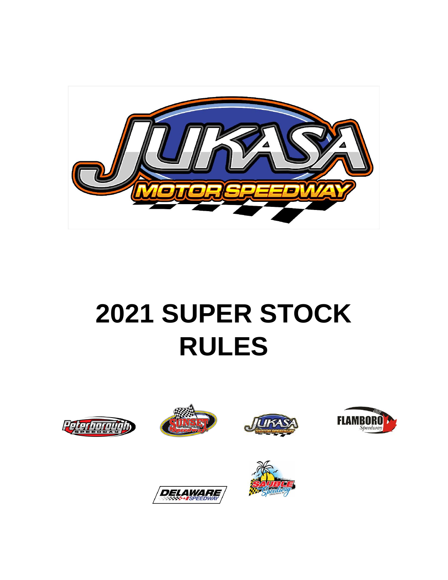

# **2021 SUPER STOCK RULES**





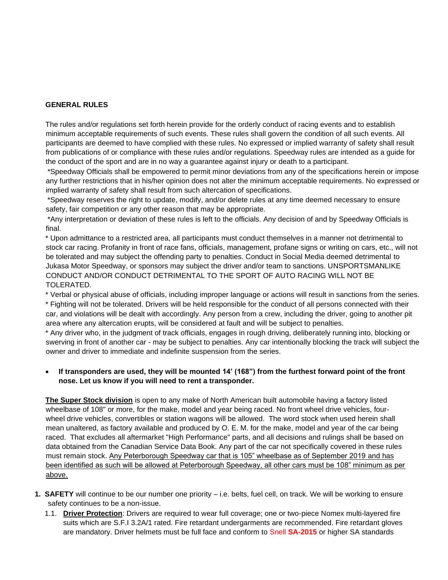#### **GENERAL RULES**

The rules and/or regulations set forth herein provide for the orderly conduct of racing events and to establish minimum acceptable requirements of such events. These rules shall govern the condition of all such events. All participants are deemed to have complied with these rules. No expressed or implied warranty of safety shall result from publications of or compliance with these rules and/or regulations. Speedway rules are intended as a guide for the conduct of the sport and are in no way a guarantee against injury or death to a participant.

\*Speedway Officials shall be empowered to permit minor deviations from any of the specifications herein or impose any further restrictions that in his/her opinion does not alter the minimum acceptable requirements. No expressed or implied warranty of safety shall result from such altercation of specifications.

\*Speedway reserves the right to update, modify, and/or delete rules at any time deemed necessary to ensure safety, fair competition or any other reason that may be appropriate.

\*Any interpretation or deviation of these rules is left to the officials. Any decision of and by Speedway Officials is final.

\* Upon admittance to a restricted area, all participants must conduct themselves in a manner not detrimental to stock car racing. Profanity in front of race fans, officials, management, profane signs or writing on cars, etc., will not be tolerated and may subject the offending party to penalties. Conduct in Social Media deemed detrimental to Jukasa Motor Speedway, or sponsors may subject the driver and/or team to sanctions. UNSPORTSMANLIKE CONDUCT AND/OR CONDUCT DETRIMENTAL TO THE SPORT OF AUTO RACING WILL NOT BE TOLERATED.

\* Verbal or physical abuse of officials, including improper language or actions will result in sanctions from the series.

\* Fighting will not be tolerated. Drivers will be held responsible for the conduct of all persons connected with their car, and violations will be dealt with accordingly. Any person from a crew, including the driver, going to another pit area where any altercation erupts, will be considered at fault and will be subject to penalties.

\* Any driver who, in the judgment of track officials, engages in rough driving, deliberately running into, blocking or swerving in front of another car - may be subject to penalties. Any car intentionally blocking the track will subject the owner and driver to immediate and indefinite suspension from the series.

#### • **If transponders are used, they will be mounted 14' (168") from the furthest forward point of the front nose. Let us know if you will need to rent a transponder.**

**The Super Stock division** is open to any make of North American built automobile having a factory listed wheelbase of 108" or more, for the make, model and year being raced. No front wheel drive vehicles, fourwheel drive vehicles, convertibles or station wagons will be allowed. The word stock when used herein shall mean unaltered, as factory available and produced by O. E. M. for the make, model and year of the car being raced. That excludes all aftermarket "High Performance" parts, and all decisions and rulings shall be based on data obtained from the Canadian Service Data Book. Any part of the car not specifically covered in these rules must remain stock. Any Peterborough Speedway car that is 105" wheelbase as of September 2019 and has been identified as such will be allowed at Peterborough Speedway, all other cars must be 108" minimum as per above.

- **1. SAFETY** will continue to be our number one priority i.e. belts, fuel cell, on track. We will be working to ensure safety continues to be a non-issue.
	- 1.1. **Driver Protection**: Drivers are required to wear full coverage; one or two-piece Nomex multi-layered fire suits which are S.F.I 3.2A/1 rated. Fire retardant undergarments are recommended. Fire retardant gloves are mandatory. Driver helmets must be full face and conform to Snell **SA-2015** or higher SA standards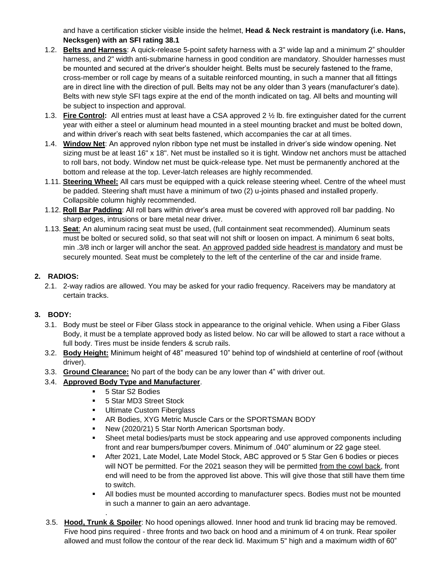and have a certification sticker visible inside the helmet, **Head & Neck restraint is mandatory (i.e. Hans, Necksgen) with an SFI rating 38.1**

- 1.2. **Belts and Harness**: A quick-release 5-point safety harness with a 3" wide lap and a minimum 2" shoulder harness, and 2" width anti-submarine harness in good condition are mandatory. Shoulder harnesses must be mounted and secured at the driver's shoulder height. Belts must be securely fastened to the frame, cross-member or roll cage by means of a suitable reinforced mounting, in such a manner that all fittings are in direct line with the direction of pull. Belts may not be any older than 3 years (manufacturer's date). Belts with new style SFI tags expire at the end of the month indicated on tag. All belts and mounting will be subject to inspection and approval.
- 1.3. **Fire Control:** All entries must at least have a CSA approved 2 ½ lb. fire extinguisher dated for the current year with either a steel or aluminum head mounted in a steel mounting bracket and must be bolted down, and within driver's reach with seat belts fastened, which accompanies the car at all times.
- 1.4. **Window Net**: An approved nylon ribbon type net must be installed in driver's side window opening. Net sizing must be at least 16" x 18". Net must be installed so it is tight. Window net anchors must be attached to roll bars, not body. Window net must be quick-release type. Net must be permanently anchored at the bottom and release at the top. Lever-latch releases are highly recommended.
- 1.11. **Steering Wheel:** All cars must be equipped with a quick release steering wheel. Centre of the wheel must be padded. Steering shaft must have a minimum of two (2) u-joints phased and installed properly. Collapsible column highly recommended.
- 1.12. **Roll Bar Padding**: All roll bars within driver's area must be covered with approved roll bar padding. No sharp edges, intrusions or bare metal near driver.
- 1.13. **Seat**: An aluminum racing seat must be used, (full containment seat recommended). Aluminum seats must be bolted or secured solid, so that seat will not shift or loosen on impact. A minimum 6 seat bolts, min .3/8 inch or larger will anchor the seat. An approved padded side headrest is mandatory and must be securely mounted. Seat must be completely to the left of the centerline of the car and inside frame.

# **2. RADIOS:**

2.1. 2-way radios are allowed. You may be asked for your radio frequency. Raceivers may be mandatory at certain tracks.

# **3. BODY:**

- 3.1. Body must be steel or Fiber Glass stock in appearance to the original vehicle. When using a Fiber Glass Body, it must be a template approved body as listed below. No car will be allowed to start a race without a full body. Tires must be inside fenders & scrub rails.
- 3.2. **Body Height:** Minimum height of 48" measured 10" behind top of windshield at centerline of roof (without driver).
- 3.3. **Ground Clearance:** No part of the body can be any lower than 4" with driver out.

# 3.4. **Approved Body Type and Manufacturer**.

.

- 5 Star S2 Bodies
- 5 Star MD3 Street Stock
- **■** Ultimate Custom Fiberglass
- **EXECT:** AR Bodies, XYG Metric Muscle Cars or the SPORTSMAN BODY
- New (2020/21) 5 Star North American Sportsman body.
- **•** Sheet metal bodies/parts must be stock appearing and use approved components including front and rear bumpers/bumper covers. Minimum of .040" aluminum or 22 gage steel.
- **EXECT:** After 2021, Late Model, Late Model Stock, ABC approved or 5 Star Gen 6 bodies or pieces will NOT be permitted. For the 2021 season they will be permitted from the cowl back, front end will need to be from the approved list above. This will give those that still have them time to switch.
- All bodies must be mounted according to manufacturer specs. Bodies must not be mounted in such a manner to gain an aero advantage.
- 3.5. **Hood, Trunk & Spoiler**: No hood openings allowed. Inner hood and trunk lid bracing may be removed. Five hood pins required - three fronts and two back on hood and a minimum of 4 on trunk. Rear spoiler allowed and must follow the contour of the rear deck lid. Maximum 5" high and a maximum width of 60"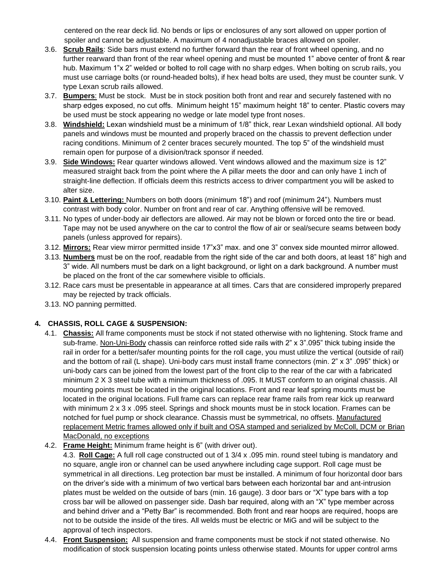centered on the rear deck lid. No bends or lips or enclosures of any sort allowed on upper portion of spoiler and cannot be adjustable. A maximum of 4 nonadjustable braces allowed on spoiler.

- 3.6. **Scrub Rails**: Side bars must extend no further forward than the rear of front wheel opening, and no further rearward than front of the rear wheel opening and must be mounted 1" above center of front & rear hub. Maximum 1"x 2" welded or bolted to roll cage with no sharp edges. When bolting on scrub rails, you must use carriage bolts (or round-headed bolts), if hex head bolts are used, they must be counter sunk. V type Lexan scrub rails allowed.
- 3.7. **Bumpers**: Must be stock. Must be in stock position both front and rear and securely fastened with no sharp edges exposed, no cut offs. Minimum height 15" maximum height 18" to center. Plastic covers may be used must be stock appearing no wedge or late model type front noses.
- 3.8. **Windshield:** Lexan windshield must be a minimum of 1/8" thick, rear Lexan windshield optional. All body panels and windows must be mounted and properly braced on the chassis to prevent deflection under racing conditions. Minimum of 2 center braces securely mounted. The top 5" of the windshield must remain open for purpose of a division/track sponsor if needed.
- 3.9. **Side Windows:** Rear quarter windows allowed. Vent windows allowed and the maximum size is 12" measured straight back from the point where the A pillar meets the door and can only have 1 inch of straight-line deflection. If officials deem this restricts access to driver compartment you will be asked to alter size.
- 3.10. **Paint & Lettering:** Numbers on both doors (minimum 18") and roof (minimum 24"). Numbers must contrast with body color. Number on front and rear of car. Anything offensive will be removed.
- 3.11. No types of under-body air deflectors are allowed. Air may not be blown or forced onto the tire or bead. Tape may not be used anywhere on the car to control the flow of air or seal/secure seams between body panels (unless approved for repairs).
- 3.12. **Mirrors:** Rear view mirror permitted inside 17"x3" max. and one 3" convex side mounted mirror allowed.
- 3.13. **Numbers** must be on the roof, readable from the right side of the car and both doors, at least 18" high and 3" wide. All numbers must be dark on a light background, or light on a dark background. A number must be placed on the front of the car somewhere visible to officials.
- 3.12. Race cars must be presentable in appearance at all times. Cars that are considered improperly prepared may be rejected by track officials.
- 3.13. NO panning permitted.

# **4. CHASSIS, ROLL CAGE & SUSPENSION:**

- 4.1. **Chassis:** All frame components must be stock if not stated otherwise with no lightening. Stock frame and sub-frame. Non-Uni-Body chassis can reinforce rotted side rails with 2" x 3".095" thick tubing inside the rail in order for a better/safer mounting points for the roll cage, you must utilize the vertical (outside of rail) and the bottom of rail (L shape). Uni-body cars must install frame connectors (min. 2" x 3" .095" thick) or uni-body cars can be joined from the lowest part of the front clip to the rear of the car with a fabricated minimum 2 X 3 steel tube with a minimum thickness of .095. It MUST conform to an original chassis. All mounting points must be located in the original locations. Front and rear leaf spring mounts must be located in the original locations. Full frame cars can replace rear frame rails from rear kick up rearward with minimum 2 x 3 x .095 steel. Springs and shock mounts must be in stock location. Frames can be notched for fuel pump or shock clearance. Chassis must be symmetrical, no offsets. Manufactured replacement Metric frames allowed only if built and OSA stamped and serialized by McColl, DCM or Brian MacDonald, no exceptions
- 4.2. **Frame Height:** Minimum frame height is 6" (with driver out).

4.3. **Roll Cage:** A full roll cage constructed out of 1 3/4 x .095 min. round steel tubing is mandatory and no square, angle iron or channel can be used anywhere including cage support. Roll cage must be symmetrical in all directions. Leg protection bar must be installed. A minimum of four horizontal door bars on the driver's side with a minimum of two vertical bars between each horizontal bar and ant-intrusion plates must be welded on the outside of bars (min. 16 gauge). 3 door bars or "X" type bars with a top cross bar will be allowed on passenger side. Dash bar required, along with an "X" type member across and behind driver and a "Petty Bar" is recommended. Both front and rear hoops are required, hoops are not to be outside the inside of the tires. All welds must be electric or MiG and will be subject to the approval of tech inspectors.

4.4. **Front Suspension:** All suspension and frame components must be stock if not stated otherwise. No modification of stock suspension locating points unless otherwise stated. Mounts for upper control arms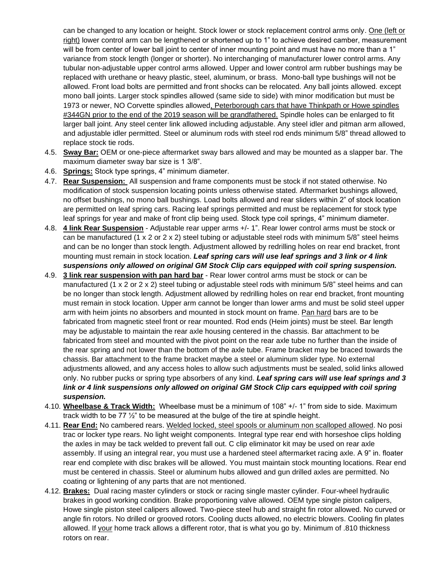can be changed to any location or height. Stock lower or stock replacement control arms only. One (left or right) lower control arm can be lengthened or shortened up to 1" to achieve desired camber, measurement will be from center of lower ball joint to center of inner mounting point and must have no more than a 1" variance from stock length (longer or shorter). No interchanging of manufacturer lower control arms. Any tubular non-adjustable upper control arms allowed. Upper and lower control arm rubber bushings may be replaced with urethane or heavy plastic, steel, aluminum, or brass. Mono-ball type bushings will not be allowed. Front load bolts are permitted and front shocks can be relocated. Any ball joints allowed. except mono ball joints. Larger stock spindles allowed (same side to side) with minor modification but must be 1973 or newer, NO Corvette spindles allowed, Peterborough cars that have Thinkpath or Howe spindles #344GN prior to the end of the 2019 season will be grandfathered. Spindle holes can be enlarged to fit larger ball joint. Any steel center link allowed including adjustable. Any steel idler and pitman arm allowed, and adjustable idler permitted. Steel or aluminum rods with steel rod ends minimum 5/8" thread allowed to replace stock tie rods.

- 4.5. **Sway Bar:** OEM or one-piece aftermarket sway bars allowed and may be mounted as a slapper bar. The maximum diameter sway bar size is 1 3/8".
- 4.6. **Springs:** Stock type springs, 4" minimum diameter.
- 4.7. **Rear Suspension:** All suspension and frame components must be stock if not stated otherwise. No modification of stock suspension locating points unless otherwise stated. Aftermarket bushings allowed, no offset bushings, no mono ball bushings. Load bolts allowed and rear sliders within 2" of stock location are permitted on leaf spring cars. Racing leaf springs permitted and must be replacement for stock type leaf springs for year and make of front clip being used. Stock type coil springs, 4" minimum diameter.
- 4.8. **4 link Rear Suspension** Adjustable rear upper arms +/- 1". Rear lower control arms must be stock or can be manufactured (1 x 2 or 2 x 2) steel tubing or adjustable steel rods with minimum 5/8" steel heims and can be no longer than stock length. Adjustment allowed by redrilling holes on rear end bracket, front mounting must remain in stock location. *Leaf spring cars will use leaf springs and 3 link or 4 link suspensions only allowed on original GM Stock Clip cars equipped with coil spring suspension.*
- 4.9. **3 link rear suspension with pan hard bar** Rear lower control arms must be stock or can be manufactured (1 x 2 or 2 x 2) steel tubing or adjustable steel rods with minimum 5/8" steel heims and can be no longer than stock length. Adjustment allowed by redrilling holes on rear end bracket, front mounting must remain in stock location. Upper arm cannot be longer than lower arms and must be solid steel upper arm with heim joints no absorbers and mounted in stock mount on frame. Pan hard bars are to be fabricated from magnetic steel front or rear mounted. Rod ends (Heim joints) must be steel. Bar length may be adjustable to maintain the rear axle housing centered in the chassis. Bar attachment to be fabricated from steel and mounted with the pivot point on the rear axle tube no further than the inside of the rear spring and not lower than the bottom of the axle tube. Frame bracket may be braced towards the chassis. Bar attachment to the frame bracket maybe a steel or aluminum slider type. No external adjustments allowed, and any access holes to allow such adjustments must be sealed, solid links allowed only. No rubber pucks or spring type absorbers of any kind. *Leaf spring cars will use leaf springs and 3*  link or 4 link suspensions only allowed on original GM Stock Clip cars equipped with coil spring *suspension.*
- 4.10. **Wheelbase & Track Width:** Wheelbase must be a minimum of 108" +/- 1" from side to side. Maximum track width to be 77  $\frac{1}{2}$ " to be measured at the bulge of the tire at spindle height.
- 4.11. **Rear End:** No cambered rears. Welded locked, steel spools or aluminum non scalloped allowed. No posi trac or locker type rears. No light weight components. Integral type rear end with horseshoe clips holding the axles in may be tack welded to prevent fall out. C clip eliminator kit may be used on rear axle assembly. If using an integral rear, you must use a hardened steel aftermarket racing axle. A 9" in. floater rear end complete with disc brakes will be allowed. You must maintain stock mounting locations. Rear end must be centered in chassis. Steel or aluminum hubs allowed and gun drilled axles are permitted. No coating or lightening of any parts that are not mentioned.
- 4.12. **Brakes:** Dual racing master cylinders or stock or racing single master cylinder. Four-wheel hydraulic brakes in good working condition. Brake proportioning valve allowed. OEM type single piston calipers, Howe single piston steel calipers allowed. Two-piece steel hub and straight fin rotor allowed. No curved or angle fin rotors. No drilled or grooved rotors. Cooling ducts allowed, no electric blowers. Cooling fin plates allowed. If your home track allows a different rotor, that is what you go by. Minimum of .810 thickness rotors on rear.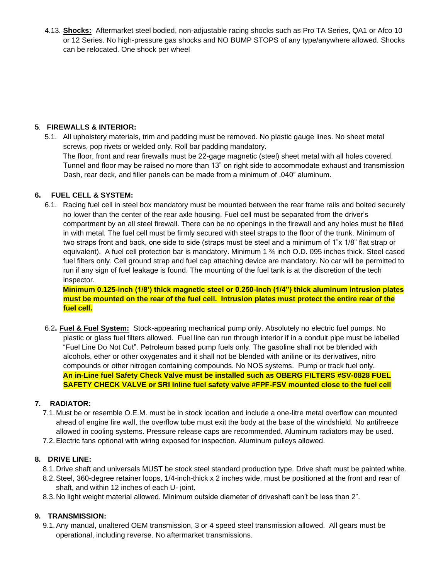4.13. **Shocks:** Aftermarket steel bodied, non-adjustable racing shocks such as Pro TA Series, QA1 or Afco 10 or 12 Series. No high-pressure gas shocks and NO BUMP STOPS of any type/anywhere allowed. Shocks can be relocated. One shock per wheel

## **5**. **FIREWALLS & INTERIOR:**

5.1. All upholstery materials, trim and padding must be removed. No plastic gauge lines. No sheet metal screws, pop rivets or welded only. Roll bar padding mandatory. The floor, front and rear firewalls must be 22-gage magnetic (steel) sheet metal with all holes covered. Tunnel and floor may be raised no more than 13" on right side to accommodate exhaust and transmission Dash, rear deck, and filler panels can be made from a minimum of .040" aluminum.

## **6. FUEL CELL & SYSTEM:**

6.1. Racing fuel cell in steel box mandatory must be mounted between the rear frame rails and bolted securely no lower than the center of the rear axle housing. Fuel cell must be separated from the driver's compartment by an all steel firewall. There can be no openings in the firewall and any holes must be filled in with metal. The fuel cell must be firmly secured with steel straps to the floor of the trunk. Minimum of two straps front and back, one side to side (straps must be steel and a minimum of 1"x 1/8" flat strap or equivalent). A fuel cell protection bar is mandatory. Minimum 1 ¾ inch O.D. 095 inches thick. Steel cased fuel filters only. Cell ground strap and fuel cap attaching device are mandatory. No car will be permitted to run if any sign of fuel leakage is found. The mounting of the fuel tank is at the discretion of the tech inspector.

 **Minimum 0.125-inch (1/8') thick magnetic steel or 0.250-inch (1/4") thick aluminum intrusion plates must be mounted on the rear of the fuel cell. Intrusion plates must protect the entire rear of the fuel cell.**

6.2**. Fuel & Fuel System:** Stock-appearing mechanical pump only. Absolutely no electric fuel pumps. No plastic or glass fuel filters allowed. Fuel line can run through interior if in a conduit pipe must be labelled "Fuel Line Do Not Cut". Petroleum based pump fuels only. The gasoline shall not be blended with alcohols, ether or other oxygenates and it shall not be blended with aniline or its derivatives, nitro compounds or other nitrogen containing compounds. No NOS systems. Pump or track fuel only. **An in-Line fuel Safety Check Valve must be installed such as OBERG FILTERS #SV-0828 FUEL SAFETY CHECK VALVE or SRI Inline fuel safety valve #FPF-FSV mounted close to the fuel cell**

# **7. RADIATOR:**

- 7.1. Must be or resemble O.E.M. must be in stock location and include a one-litre metal overflow can mounted ahead of engine fire wall, the overflow tube must exit the body at the base of the windshield. No antifreeze allowed in cooling systems. Pressure release caps are recommended. Aluminum radiators may be used.
- 7.2.Electric fans optional with wiring exposed for inspection. Aluminum pulleys allowed.

# **8. DRIVE LINE:**

- 8.1. Drive shaft and universals MUST be stock steel standard production type. Drive shaft must be painted white.
- 8.2.Steel, 360-degree retainer loops, 1/4-inch-thick x 2 inches wide, must be positioned at the front and rear of shaft, and within 12 inches of each U- joint.
- 8.3. No light weight material allowed. Minimum outside diameter of driveshaft can't be less than 2".

# **9. TRANSMISSION:**

9.1.Any manual, unaltered OEM transmission, 3 or 4 speed steel transmission allowed. All gears must be operational, including reverse. No aftermarket transmissions.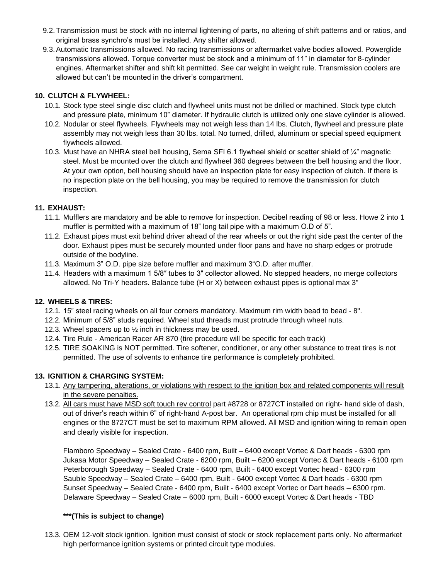- 9.2.Transmission must be stock with no internal lightening of parts, no altering of shift patterns and or ratios, and original brass synchro's must be installed. Any shifter allowed.
- 9.3.Automatic transmissions allowed. No racing transmissions or aftermarket valve bodies allowed. Powerglide transmissions allowed. Torque converter must be stock and a minimum of 11" in diameter for 8-cylinder engines. Aftermarket shifter and shift kit permitted. See car weight in weight rule. Transmission coolers are allowed but can't be mounted in the driver's compartment.

# **10. CLUTCH & FLYWHEEL:**

- 10.1. Stock type steel single disc clutch and flywheel units must not be drilled or machined. Stock type clutch and pressure plate, minimum 10" diameter. If hydraulic clutch is utilized only one slave cylinder is allowed.
- 10.2. Nodular or steel flywheels. Flywheels may not weigh less than 14 lbs. Clutch, flywheel and pressure plate assembly may not weigh less than 30 lbs. total. No turned, drilled, aluminum or special speed equipment flywheels allowed.
- 10.3. Must have an NHRA steel bell housing, Sema SFI 6.1 flywheel shield or scatter shield of ¼" magnetic steel. Must be mounted over the clutch and flywheel 360 degrees between the bell housing and the floor. At your own option, bell housing should have an inspection plate for easy inspection of clutch. If there is no inspection plate on the bell housing, you may be required to remove the transmission for clutch inspection.

#### **11. EXHAUST:**

- 11.1. Mufflers are mandatory and be able to remove for inspection. Decibel reading of 98 or less. Howe 2 into 1 muffler is permitted with a maximum of 18" long tail pipe with a maximum O.D of 5".
- 11.2. Exhaust pipes must exit behind driver ahead of the rear wheels or out the right side past the center of the door. Exhaust pipes must be securely mounted under floor pans and have no sharp edges or protrude outside of the bodyline.
- 11.3. Maximum 3" O.D. pipe size before muffler and maximum 3"O.D. after muffler.
- 11.4. Headers with a maximum 1 5/8″ tubes to 3″ collector allowed. No stepped headers, no merge collectors allowed. No Tri-Y headers. Balance tube (H or X) between exhaust pipes is optional max 3"

#### **12. WHEELS & TIRES:**

- 12.1. 15" steel racing wheels on all four corners mandatory. Maximum rim width bead to bead 8".
- 12.2. Minimum of 5/8" studs required. Wheel stud threads must protrude through wheel nuts.
- 12.3. Wheel spacers up to ½ inch in thickness may be used.
- 12.4. Tire Rule American Racer AR 870 (tire procedure will be specific for each track)
- 12.5. TIRE SOAKING is NOT permitted. Tire softener, conditioner, or any other substance to treat tires is not permitted. The use of solvents to enhance tire performance is completely prohibited.

#### **13. IGNITION & CHARGING SYSTEM:**

- 13.1. Any tampering, alterations, or violations with respect to the ignition box and related components will result in the severe penalties.
- 13.2. All cars must have MSD soft touch rev control part #8728 or 8727CT installed on right- hand side of dash, out of driver's reach within 6" of right-hand A-post bar. An operational rpm chip must be installed for all engines or the 8727CT must be set to maximum RPM allowed. All MSD and ignition wiring to remain open and clearly visible for inspection.

Flamboro Speedway – Sealed Crate - 6400 rpm, Built – 6400 except Vortec & Dart heads - 6300 rpm Jukasa Motor Speedway – Sealed Crate - 6200 rpm, Built – 6200 except Vortec & Dart heads - 6100 rpm Peterborough Speedway – Sealed Crate - 6400 rpm, Built - 6400 except Vortec head - 6300 rpm Sauble Speedway – Sealed Crate – 6400 rpm, Built - 6400 except Vortec & Dart heads - 6300 rpm Sunset Speedway – Sealed Crate - 6400 rpm, Built - 6400 except Vortec or Dart heads – 6300 rpm. Delaware Speedway – Sealed Crate – 6000 rpm, Built - 6000 except Vortec & Dart heads - TBD

#### **\*\*\*(This is subject to change)**

13.3. OEM 12-volt stock ignition. Ignition must consist of stock or stock replacement parts only. No aftermarket high performance ignition systems or printed circuit type modules.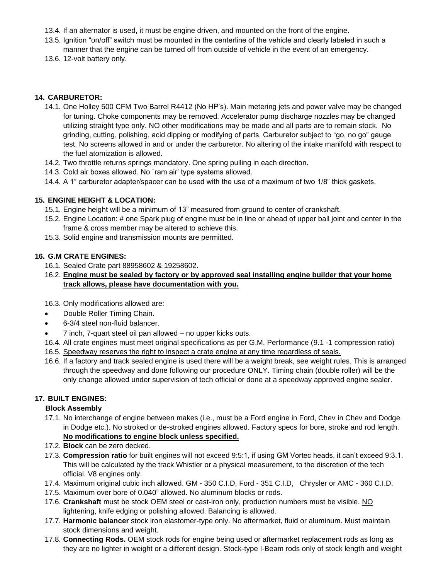- 13.4. If an alternator is used, it must be engine driven, and mounted on the front of the engine.
- 13.5. Ignition "on/off" switch must be mounted in the centerline of the vehicle and clearly labeled in such a manner that the engine can be turned off from outside of vehicle in the event of an emergency.
- 13.6. 12-volt battery only.

#### **14. CARBURETOR:**

- 14.1. One Holley 500 CFM Two Barrel R4412 (No HP's). Main metering jets and power valve may be changed for tuning. Choke components may be removed. Accelerator pump discharge nozzles may be changed utilizing straight type only. NO other modifications may be made and all parts are to remain stock. No grinding, cutting, polishing, acid dipping or modifying of parts. Carburetor subject to "go, no go" gauge test. No screens allowed in and or under the carburetor. No altering of the intake manifold with respect to the fuel atomization is allowed.
- 14.2. Two throttle returns springs mandatory. One spring pulling in each direction.
- 14.3. Cold air boxes allowed. No `ram air' type systems allowed.
- 14.4. A 1" carburetor adapter/spacer can be used with the use of a maximum of two 1/8" thick gaskets.

#### **15. ENGINE HEIGHT & LOCATION:**

- 15.1. Engine height will be a minimum of 13" measured from ground to center of crankshaft.
- 15.2. Engine Location: # one Spark plug of engine must be in line or ahead of upper ball joint and center in the frame & cross member may be altered to achieve this.
- 15.3. Solid engine and transmission mounts are permitted.

#### **16. G.M CRATE ENGINES:**

- 16.1. Sealed Crate part 88958602 & 19258602.
- 16.2. **Engine must be sealed by factory or by approved seal installing engine builder that your home track allows, please have documentation with you.**

16.3. Only modifications allowed are:

- Double Roller Timing Chain.
- 6-3/4 steel non-fluid balancer.
- 7 inch, 7-quart steel oil pan allowed no upper kicks outs.
- 16.4. All crate engines must meet original specifications as per G.M. Performance (9.1 -1 compression ratio)
- 16.5. Speedway reserves the right to inspect a crate engine at any time regardless of seals.
- 16.6. If a factory and track sealed engine is used there will be a weight break, see weight rules. This is arranged through the speedway and done following our procedure ONLY. Timing chain (double roller) will be the only change allowed under supervision of tech official or done at a speedway approved engine sealer.

#### **17. BUILT ENGINES:**

#### **Block Assembly**

- 17.1. No interchange of engine between makes (i.e., must be a Ford engine in Ford, Chev in Chev and Dodge in Dodge etc.). No stroked or de-stroked engines allowed. Factory specs for bore, stroke and rod length. **No modifications to engine block unless specified.**
- 17.2. **Block** can be zero decked.
- 17.3. **Compression ratio** for built engines will not exceed 9:5:1, if using GM Vortec heads, it can't exceed 9:3.1. This will be calculated by the track Whistler or a physical measurement, to the discretion of the tech official. V8 engines only.
- 17.4. Maximum original cubic inch allowed. GM 350 C.I.D, Ford 351 C.I.D, Chrysler or AMC 360 C.I.D.
- 17.5. Maximum over bore of 0.040" allowed. No aluminum blocks or rods.
- 17.6. **Crankshaft** must be stock OEM steel or cast-iron only, production numbers must be visible. NO lightening, knife edging or polishing allowed. Balancing is allowed.
- 17.7. **Harmonic balancer** stock iron elastomer-type only. No aftermarket, fluid or aluminum. Must maintain stock dimensions and weight.
- 17.8. **Connecting Rods.** OEM stock rods for engine being used or aftermarket replacement rods as long as they are no lighter in weight or a different design. Stock-type I-Beam rods only of stock length and weight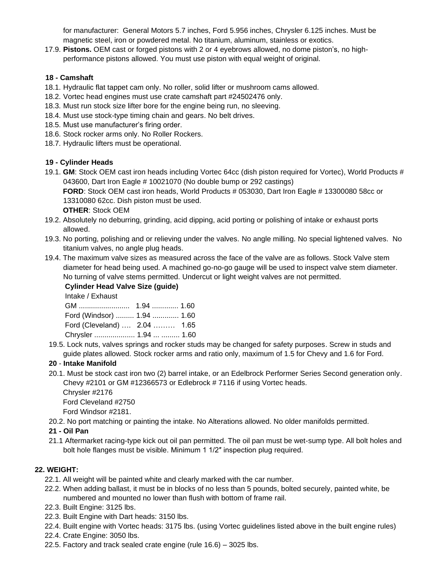for manufacturer: General Motors 5.7 inches, Ford 5.956 inches, Chrysler 6.125 inches. Must be magnetic steel, iron or powdered metal. No titanium, aluminum, stainless or exotics.

17.9. **Pistons.** OEM cast or forged pistons with 2 or 4 eyebrows allowed, no dome piston's, no highperformance pistons allowed. You must use piston with equal weight of original.

## **18 - Camshaft**

- 18.1. Hydraulic flat tappet cam only. No roller, solid lifter or mushroom cams allowed.
- 18.2. Vortec head engines must use crate camshaft part #24502476 only.
- 18.3. Must run stock size lifter bore for the engine being run, no sleeving.
- 18.4. Must use stock-type timing chain and gears. No belt drives.
- 18.5. Must use manufacturer's firing order.
- 18.6. Stock rocker arms only. No Roller Rockers.
- 18.7. Hydraulic lifters must be operational.

#### **19 - Cylinder Heads**

19.1. **GM**: Stock OEM cast iron heads including Vortec 64cc (dish piston required for Vortec), World Products # 043600, Dart Iron Eagle # 10021070 (No double bump or 292 castings)

 **FORD**: Stock OEM cast iron heads, World Products # 053030, Dart Iron Eagle # 13300080 58cc or 13310080 62cc. Dish piston must be used.

 **OTHER**: Stock OEM

- 19.2. Absolutely no deburring, grinding, acid dipping, acid porting or polishing of intake or exhaust ports allowed.
- 19.3. No porting, polishing and or relieving under the valves. No angle milling. No special lightened valves. No titanium valves, no angle plug heads.
- 19.4. The maximum valve sizes as measured across the face of the valve are as follows. Stock Valve stem diameter for head being used. A machined go-no-go gauge will be used to inspect valve stem diameter. No turning of valve stems permitted. Undercut or light weight valves are not permitted.

**Cylinder Head Valve Size (guide)**

Intake / Exhaust

| Ford (Windsor)  1.94  1.60   |  |
|------------------------------|--|
| Ford (Cleveland)  2.04  1.65 |  |
| Chrysler  1.94   1.60        |  |

 19.5. Lock nuts, valves springs and rocker studs may be changed for safety purposes. Screw in studs and guide plates allowed. Stock rocker arms and ratio only, maximum of 1.5 for Chevy and 1.6 for Ford.

#### **20** - **Intake Manifold**

20.1. Must be stock cast iron two (2) barrel intake, or an Edelbrock Performer Series Second generation only. Chevy #2101 or GM #12366573 or Edlebrock # 7116 if using Vortec heads.

 Chrysler #2176 Ford Cleveland #2750

Ford Windsor #2181.

20.2. No port matching or painting the intake. No Alterations allowed. No older manifolds permitted.

#### **21 - Oil Pan**

 21.1 Aftermarket racing-type kick out oil pan permitted. The oil pan must be wet-sump type. All bolt holes and bolt hole flanges must be visible. Minimum 1 1/2″ inspection plug required.

#### **22. WEIGHT:**

- 22.1. All weight will be painted white and clearly marked with the car number.
- 22.2. When adding ballast, it must be in blocks of no less than 5 pounds, bolted securely, painted white, be numbered and mounted no lower than flush with bottom of frame rail.
- 22.3. Built Engine: 3125 lbs.
- 22.3. Built Engine with Dart heads: 3150 lbs.
- 22.4. Built engine with Vortec heads: 3175 lbs. (using Vortec guidelines listed above in the built engine rules)
- 22.4. Crate Engine: 3050 lbs.
- 22.5. Factory and track sealed crate engine (rule 16.6) 3025 lbs.